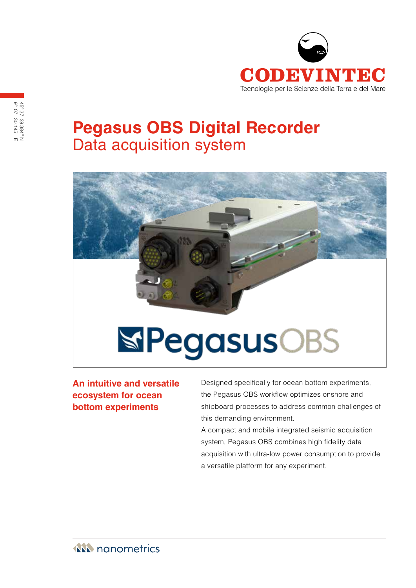

# **Pegasus OBS Digital Recorder** Data acquisition system



**An intuitive and versatile ecosystem for ocean bottom experiments**

Designed specifically for ocean bottom experiments, the Pegasus OBS workflow optimizes onshore and shipboard processes to address common challenges of this demanding environment.

A compact and mobile integrated seismic acquisition system, Pegasus OBS combines high fidelity data acquisition with ultra-low power consumption to provide a versatile platform for any experiment.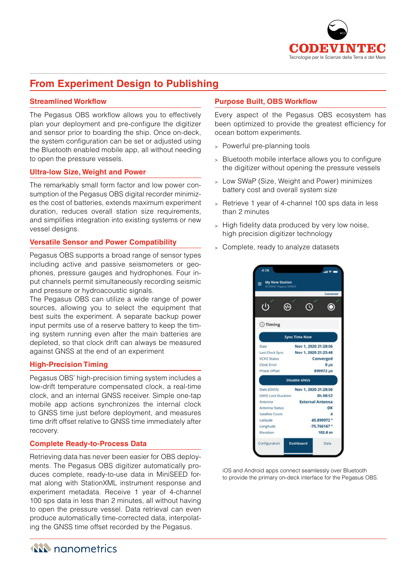

# **From Experiment Design to Publishing**

### **Streamlined Workflow**

The Pegasus OBS workflow allows you to effectively plan your deployment and pre-configure the digitizer and sensor prior to boarding the ship. Once on-deck, the system configuration can be set or adjusted using the Bluetooth enabled mobile app, all without needing to open the pressure vessels.

#### **Ultra-low Size, Weight and Power**

The remarkably small form factor and low power consumption of the Pegasus OBS digital recorder minimizes the cost of batteries, extends maximum experiment duration, reduces overall station size requirements, and simplifies integration into existing systems or new vessel designs.

#### **Versatile Sensor and Power Compatibility**

Pegasus OBS supports a broad range of sensor types including active and passive seismometers or geophones, pressure gauges and hydrophones. Four input channels permit simultaneously recording seismic and pressure or hydroacoustic signals.

The Pegasus OBS can utilize a wide range of power sources, allowing you to select the equipment that best suits the experiment. A separate backup power input permits use of a reserve battery to keep the timing system running even after the main batteries are depleted, so that clock drift can always be measured against GNSS at the end of an experiment

#### **High-Precision Timing**

Pegasus OBS' high-precision timing system includes a low-drift temperature compensated clock, a real-time clock, and an internal GNSS receiver. Simple one-tap mobile app actions synchronizes the internal clock to GNSS time just before deployment, and measures time drift offset relative to GNSS time immediately after recovery.

#### **Complete Ready-to-Process Data**

Retrieving data has never been easier for OBS deployments. The Pegasus OBS digitizer automatically produces complete, ready-to-use data in MiniSEED format along with StationXML instrument response and experiment metadata. Receive 1 year of 4-channel 100 sps data in less than 2 minutes, all without having to open the pressure vessel. Data retrieval can even produce automatically time-corrected data, interpolating the GNSS time offset recorded by the Pegasus.

## **Purpose Built, OBS Workflow**

Every aspect of the Pegasus OBS ecosystem has been optimized to provide the greatest efficiency for ocean bottom experiments.

- <sup>&</sup>gt; Powerful pre-planning tools
- <sup>&</sup>gt; Bluetooth mobile interface allows you to configure the digitizer without opening the pressure vessels
- <sup>&</sup>gt; Low SWaP (Size, Weight and Power) minimizes battery cost and overall system size
- <sup>&</sup>gt; Retrieve 1 year of 4-channel 100 sps data in less than 2 minutes
- <sup>&</sup>gt; High fidelity data produced by very low noise, high precision digitizer technology
- <sup>&</sup>gt; Complete, ready to analyze datasets



iOS and Android apps connect seamlessly over Bluetooth to provide the primary on-deck interface for the Pegasus OBS.